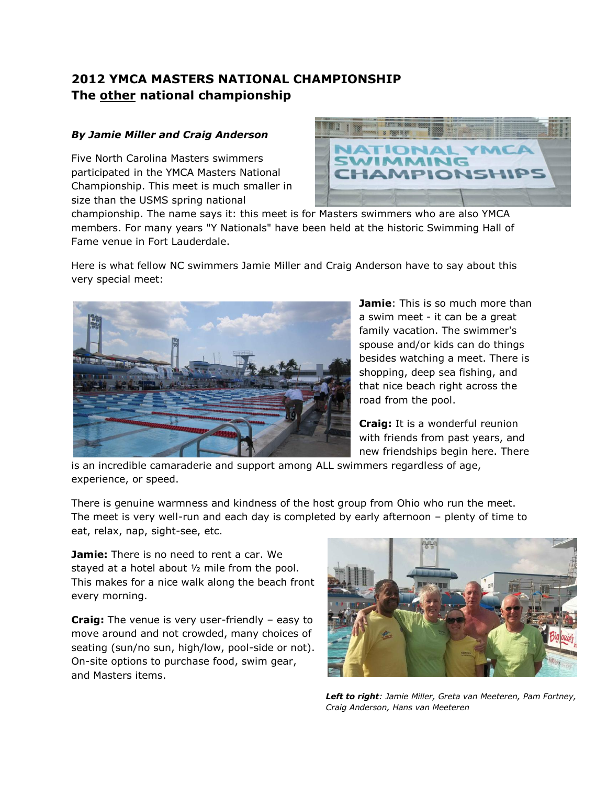## **2012 YMCA MASTERS NATIONAL CHAMPIONSHIP The other national championship**

## *By Jamie Miller and Craig Anderson*

Five North Carolina Masters swimmers participated in the YMCA Masters National Championship. This meet is much smaller in size than the USMS spring national



championship. The name says it: this meet is for Masters swimmers who are also YMCA members. For many years "Y Nationals" have been held at the historic Swimming Hall of Fame venue in Fort Lauderdale.

Here is what fellow NC swimmers Jamie Miller and Craig Anderson have to say about this very special meet:



**Jamie**: This is so much more than a swim meet - it can be a great family vacation. The swimmer's spouse and/or kids can do things besides watching a meet. There is shopping, deep sea fishing, and that nice beach right across the road from the pool.

**Craig:** It is a wonderful reunion with friends from past years, and new friendships begin here. There

is an incredible camaraderie and support among ALL swimmers regardless of age, experience, or speed.

There is genuine warmness and kindness of the host group from Ohio who run the meet. The meet is very well-run and each day is completed by early afternoon – plenty of time to eat, relax, nap, sight-see, etc.

**Jamie:** There is no need to rent a car. We stayed at a hotel about ½ mile from the pool. This makes for a nice walk along the beach front every morning.

**Craig:** The venue is very user-friendly – easy to move around and not crowded, many choices of seating (sun/no sun, high/low, pool-side or not). On-site options to purchase food, swim gear, and Masters items.



*Left to right: Jamie Miller, Greta van Meeteren, Pam Fortney, Craig Anderson, Hans van Meeteren*